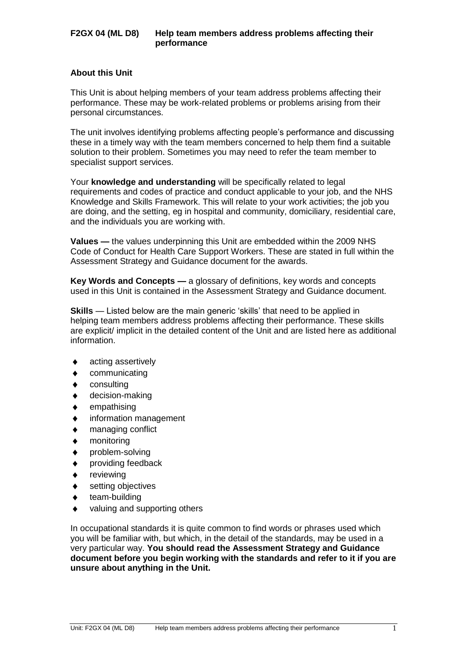### **About this Unit**

This Unit is about helping members of your team address problems affecting their performance. These may be work-related problems or problems arising from their personal circumstances.

The unit involves identifying problems affecting people's performance and discussing these in a timely way with the team members concerned to help them find a suitable solution to their problem. Sometimes you may need to refer the team member to specialist support services.

Your **knowledge and understanding** will be specifically related to legal requirements and codes of practice and conduct applicable to your job, and the NHS Knowledge and Skills Framework. This will relate to your work activities; the job you are doing, and the setting, eg in hospital and community, domiciliary, residential care, and the individuals you are working with.

**Values —** the values underpinning this Unit are embedded within the 2009 NHS Code of Conduct for Health Care Support Workers. These are stated in full within the Assessment Strategy and Guidance document for the awards.

**Key Words and Concepts —** a glossary of definitions, key words and concepts used in this Unit is contained in the Assessment Strategy and Guidance document.

**Skills** — Listed below are the main generic 'skills' that need to be applied in helping team members address problems affecting their performance. These skills are explicit/ implicit in the detailed content of the Unit and are listed here as additional information.

- acting assertively
- communicating
- consulting
- decision-making
- empathising
- information management
- managing conflict
- monitoring
- problem-solving
- providing feedback
- reviewing
- setting objectives
- team-building
- valuing and supporting others

In occupational standards it is quite common to find words or phrases used which you will be familiar with, but which, in the detail of the standards, may be used in a very particular way. **You should read the Assessment Strategy and Guidance document before you begin working with the standards and refer to it if you are unsure about anything in the Unit.**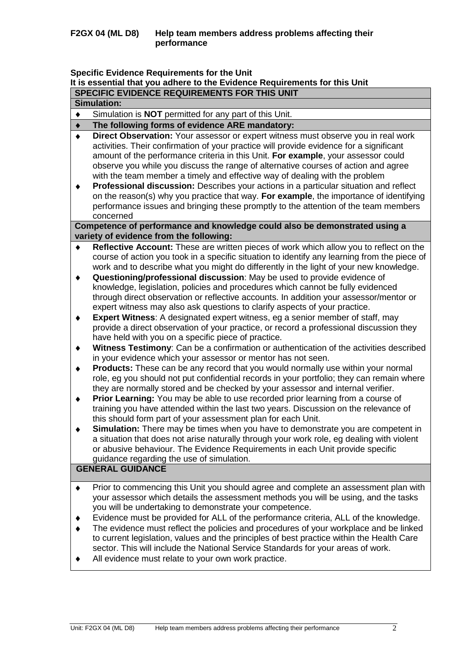### **Specific Evidence Requirements for the Unit**

# **It is essential that you adhere to the Evidence Requirements for this Unit SPECIFIC EVIDENCE REQUIREMENTS FOR THIS UNIT**

|                 | <b>Simulation:</b>                                                                                                                                                                                                                                                                                                                                                                                                                                                                                                                                                                                                                                                                                                            |
|-----------------|-------------------------------------------------------------------------------------------------------------------------------------------------------------------------------------------------------------------------------------------------------------------------------------------------------------------------------------------------------------------------------------------------------------------------------------------------------------------------------------------------------------------------------------------------------------------------------------------------------------------------------------------------------------------------------------------------------------------------------|
| $\blacklozenge$ | Simulation is <b>NOT</b> permitted for any part of this Unit.                                                                                                                                                                                                                                                                                                                                                                                                                                                                                                                                                                                                                                                                 |
|                 | The following forms of evidence ARE mandatory:                                                                                                                                                                                                                                                                                                                                                                                                                                                                                                                                                                                                                                                                                |
|                 | Direct Observation: Your assessor or expert witness must observe you in real work<br>activities. Their confirmation of your practice will provide evidence for a significant<br>amount of the performance criteria in this Unit. For example, your assessor could<br>observe you while you discuss the range of alternative courses of action and agree<br>with the team member a timely and effective way of dealing with the problem<br>Professional discussion: Describes your actions in a particular situation and reflect<br>on the reason(s) why you practice that way. For example, the importance of identifying<br>performance issues and bringing these promptly to the attention of the team members<br>concerned |
|                 | Competence of performance and knowledge could also be demonstrated using a<br>variety of evidence from the following:                                                                                                                                                                                                                                                                                                                                                                                                                                                                                                                                                                                                         |
| ٠               | Reflective Account: These are written pieces of work which allow you to reflect on the<br>course of action you took in a specific situation to identify any learning from the piece of<br>work and to describe what you might do differently in the light of your new knowledge.<br>Questioning/professional discussion: May be used to provide evidence of                                                                                                                                                                                                                                                                                                                                                                   |
|                 | knowledge, legislation, policies and procedures which cannot be fully evidenced<br>through direct observation or reflective accounts. In addition your assessor/mentor or<br>expert witness may also ask questions to clarify aspects of your practice.                                                                                                                                                                                                                                                                                                                                                                                                                                                                       |
| ٠               | <b>Expert Witness:</b> A designated expert witness, eg a senior member of staff, may<br>provide a direct observation of your practice, or record a professional discussion they<br>have held with you on a specific piece of practice.                                                                                                                                                                                                                                                                                                                                                                                                                                                                                        |
| ٠               | Witness Testimony: Can be a confirmation or authentication of the activities described<br>in your evidence which your assessor or mentor has not seen.                                                                                                                                                                                                                                                                                                                                                                                                                                                                                                                                                                        |
|                 | <b>Products:</b> These can be any record that you would normally use within your normal<br>role, eg you should not put confidential records in your portfolio; they can remain where<br>they are normally stored and be checked by your assessor and internal verifier.                                                                                                                                                                                                                                                                                                                                                                                                                                                       |
| ٠               | Prior Learning: You may be able to use recorded prior learning from a course of<br>training you have attended within the last two years. Discussion on the relevance of<br>this should form part of your assessment plan for each Unit.                                                                                                                                                                                                                                                                                                                                                                                                                                                                                       |
| ٠               | Simulation: There may be times when you have to demonstrate you are competent in<br>a situation that does not arise naturally through your work role, eg dealing with violent<br>or abusive behaviour. The Evidence Requirements in each Unit provide specific<br>guidance regarding the use of simulation.                                                                                                                                                                                                                                                                                                                                                                                                                   |
|                 | <b>GENERAL GUIDANCE</b>                                                                                                                                                                                                                                                                                                                                                                                                                                                                                                                                                                                                                                                                                                       |
| ٠               | Prior to commencing this Unit you should agree and complete an assessment plan with<br>your assessor which details the assessment methods you will be using, and the tasks<br>you will be undertaking to demonstrate your competence.                                                                                                                                                                                                                                                                                                                                                                                                                                                                                         |
|                 | Evidence must be provided for ALL of the performance criteria, ALL of the knowledge.                                                                                                                                                                                                                                                                                                                                                                                                                                                                                                                                                                                                                                          |
|                 | The evidence must reflect the policies and procedures of your workplace and be linked<br>to current legislation, values and the principles of best practice within the Health Care<br>sector. This will include the National Service Standards for your areas of work.<br>All evidence must relate to your own work practice.                                                                                                                                                                                                                                                                                                                                                                                                 |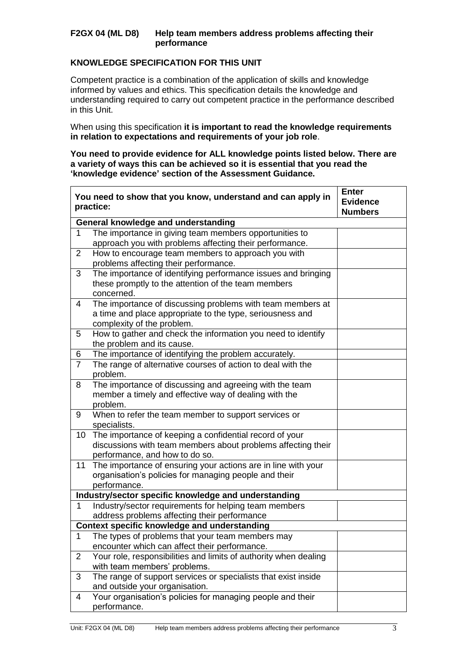## **KNOWLEDGE SPECIFICATION FOR THIS UNIT**

Competent practice is a combination of the application of skills and knowledge informed by values and ethics. This specification details the knowledge and understanding required to carry out competent practice in the performance described in this Unit.

When using this specification **it is important to read the knowledge requirements in relation to expectations and requirements of your job role**.

**You need to provide evidence for ALL knowledge points listed below. There are a variety of ways this can be achieved so it is essential that you read the 'knowledge evidence' section of the Assessment Guidance.**

|                | You need to show that you know, understand and can apply in<br>practice:                                                                                  | <b>Enter</b><br><b>Evidence</b><br><b>Numbers</b> |  |  |  |  |  |  |
|----------------|-----------------------------------------------------------------------------------------------------------------------------------------------------------|---------------------------------------------------|--|--|--|--|--|--|
|                | General knowledge and understanding                                                                                                                       |                                                   |  |  |  |  |  |  |
| 1              | The importance in giving team members opportunities to<br>approach you with problems affecting their performance.                                         |                                                   |  |  |  |  |  |  |
| $\overline{2}$ | How to encourage team members to approach you with<br>problems affecting their performance.                                                               |                                                   |  |  |  |  |  |  |
| 3              | The importance of identifying performance issues and bringing<br>these promptly to the attention of the team members<br>concerned.                        |                                                   |  |  |  |  |  |  |
| 4              | The importance of discussing problems with team members at<br>a time and place appropriate to the type, seriousness and<br>complexity of the problem.     |                                                   |  |  |  |  |  |  |
| 5              | How to gather and check the information you need to identify<br>the problem and its cause.                                                                |                                                   |  |  |  |  |  |  |
| 6              | The importance of identifying the problem accurately.                                                                                                     |                                                   |  |  |  |  |  |  |
| $\overline{7}$ | The range of alternative courses of action to deal with the<br>problem.                                                                                   |                                                   |  |  |  |  |  |  |
| 8              | The importance of discussing and agreeing with the team<br>member a timely and effective way of dealing with the<br>problem.                              |                                                   |  |  |  |  |  |  |
| 9              | When to refer the team member to support services or<br>specialists.                                                                                      |                                                   |  |  |  |  |  |  |
| 10             | The importance of keeping a confidential record of your<br>discussions with team members about problems affecting their<br>performance, and how to do so. |                                                   |  |  |  |  |  |  |
| 11             | The importance of ensuring your actions are in line with your<br>organisation's policies for managing people and their<br>performance.                    |                                                   |  |  |  |  |  |  |
|                | Industry/sector specific knowledge and understanding                                                                                                      |                                                   |  |  |  |  |  |  |
| $\mathbf 1$    | Industry/sector requirements for helping team members<br>address problems affecting their performance                                                     |                                                   |  |  |  |  |  |  |
|                | Context specific knowledge and understanding                                                                                                              |                                                   |  |  |  |  |  |  |
| 1              | The types of problems that your team members may<br>encounter which can affect their performance.                                                         |                                                   |  |  |  |  |  |  |
| $\overline{2}$ | Your role, responsibilities and limits of authority when dealing<br>with team members' problems.                                                          |                                                   |  |  |  |  |  |  |
| 3              | The range of support services or specialists that exist inside<br>and outside your organisation.                                                          |                                                   |  |  |  |  |  |  |
| 4              | Your organisation's policies for managing people and their<br>performance.                                                                                |                                                   |  |  |  |  |  |  |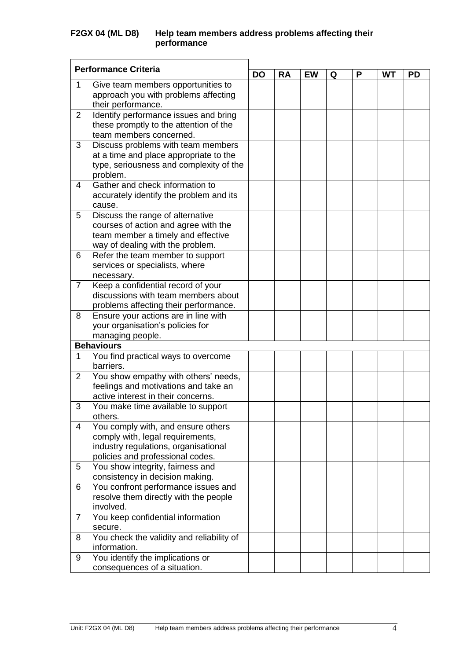|                | <b>Performance Criteria</b>               |           |           |    |   |   |    |    |
|----------------|-------------------------------------------|-----------|-----------|----|---|---|----|----|
|                |                                           | <b>DO</b> | <b>RA</b> | EW | Q | P | WT | PD |
| 1              | Give team members opportunities to        |           |           |    |   |   |    |    |
|                | approach you with problems affecting      |           |           |    |   |   |    |    |
|                | their performance.                        |           |           |    |   |   |    |    |
| 2              | Identify performance issues and bring     |           |           |    |   |   |    |    |
|                | these promptly to the attention of the    |           |           |    |   |   |    |    |
|                | team members concerned.                   |           |           |    |   |   |    |    |
| 3              | Discuss problems with team members        |           |           |    |   |   |    |    |
|                | at a time and place appropriate to the    |           |           |    |   |   |    |    |
|                | type, seriousness and complexity of the   |           |           |    |   |   |    |    |
|                | problem.                                  |           |           |    |   |   |    |    |
| $\overline{4}$ | Gather and check information to           |           |           |    |   |   |    |    |
|                | accurately identify the problem and its   |           |           |    |   |   |    |    |
|                | cause.                                    |           |           |    |   |   |    |    |
| 5              | Discuss the range of alternative          |           |           |    |   |   |    |    |
|                | courses of action and agree with the      |           |           |    |   |   |    |    |
|                | team member a timely and effective        |           |           |    |   |   |    |    |
|                | way of dealing with the problem.          |           |           |    |   |   |    |    |
| 6              | Refer the team member to support          |           |           |    |   |   |    |    |
|                | services or specialists, where            |           |           |    |   |   |    |    |
|                | necessary.                                |           |           |    |   |   |    |    |
| $\overline{7}$ | Keep a confidential record of your        |           |           |    |   |   |    |    |
|                | discussions with team members about       |           |           |    |   |   |    |    |
|                | problems affecting their performance.     |           |           |    |   |   |    |    |
| 8              | Ensure your actions are in line with      |           |           |    |   |   |    |    |
|                | your organisation's policies for          |           |           |    |   |   |    |    |
|                | managing people.                          |           |           |    |   |   |    |    |
|                | <b>Behaviours</b>                         |           |           |    |   |   |    |    |
| 1              | You find practical ways to overcome       |           |           |    |   |   |    |    |
|                | barriers.                                 |           |           |    |   |   |    |    |
| 2              | You show empathy with others' needs,      |           |           |    |   |   |    |    |
|                | feelings and motivations and take an      |           |           |    |   |   |    |    |
|                | active interest in their concerns.        |           |           |    |   |   |    |    |
| 3              | You make time available to support        |           |           |    |   |   |    |    |
|                | others.                                   |           |           |    |   |   |    |    |
| 4              | You comply with, and ensure others        |           |           |    |   |   |    |    |
|                | comply with, legal requirements,          |           |           |    |   |   |    |    |
|                | industry regulations, organisational      |           |           |    |   |   |    |    |
|                | policies and professional codes.          |           |           |    |   |   |    |    |
| 5              | You show integrity, fairness and          |           |           |    |   |   |    |    |
|                | consistency in decision making.           |           |           |    |   |   |    |    |
| 6              | You confront performance issues and       |           |           |    |   |   |    |    |
|                | resolve them directly with the people     |           |           |    |   |   |    |    |
|                | involved.                                 |           |           |    |   |   |    |    |
| $\overline{7}$ | You keep confidential information         |           |           |    |   |   |    |    |
|                | secure.                                   |           |           |    |   |   |    |    |
| 8              | You check the validity and reliability of |           |           |    |   |   |    |    |
|                | information.                              |           |           |    |   |   |    |    |
| 9              | You identify the implications or          |           |           |    |   |   |    |    |
|                | consequences of a situation.              |           |           |    |   |   |    |    |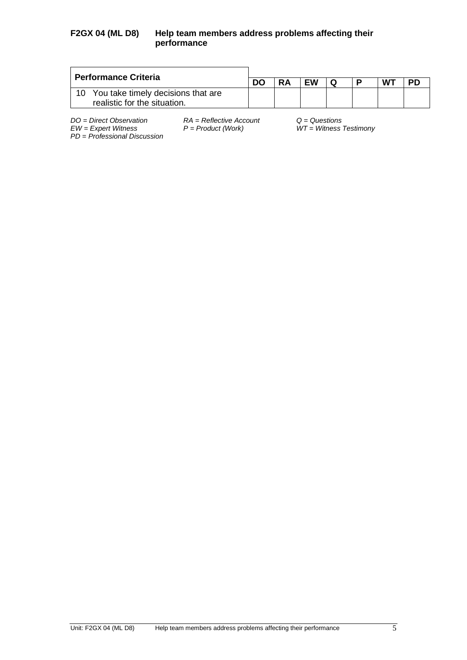| <b>Performance Criteria</b>                                        |  |           |           |   |    |           |
|--------------------------------------------------------------------|--|-----------|-----------|---|----|-----------|
|                                                                    |  | <b>RA</b> | <b>EW</b> | P | WT | <b>PD</b> |
| You take timely decisions that are<br>realistic for the situation. |  |           |           |   |    |           |

*PD* = *Professional Discussion*

*DO = Direct Observation RA = Reflective Account Q = Questions*

*EW = Expert Witness P = Product (Work) WT = Witness Testimony*

Unit: F2GX 04 (ML D8) Help team members address problems affecting their performance 5